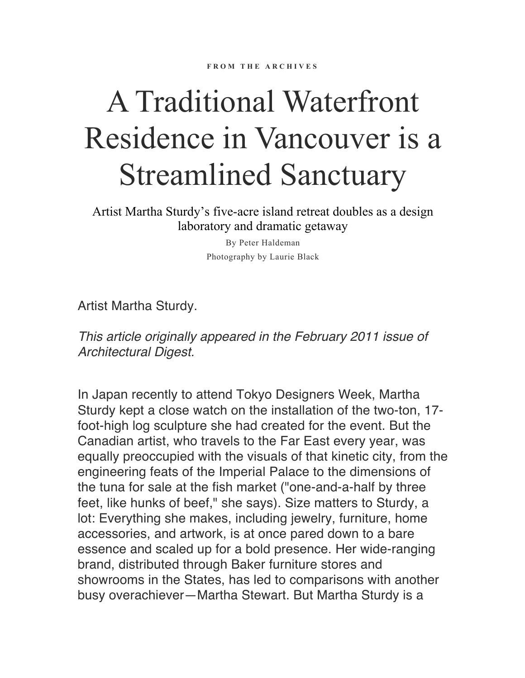## A Traditional Waterfront Residence in Vancouver is a Streamlined Sanctuary

Artist Martha Sturdy's five-acre island retreat doubles as a design laboratory and dramatic getaway

> By Peter Haldeman Photography by Laurie Black

Artist Martha Sturdy.

*This article originally appeared in the February 2011 issue of Architectural Digest.*

In Japan recently to attend Tokyo Designers Week, Martha Sturdy kept a close watch on the installation of the two-ton, 17 foot-high log sculpture she had created for the event. But the Canadian artist, who travels to the Far East every year, was equally preoccupied with the visuals of that kinetic city, from the engineering feats of the Imperial Palace to the dimensions of the tuna for sale at the fish market ("one-and-a-half by three feet, like hunks of beef," she says). Size matters to Sturdy, a lot: Everything she makes, including jewelry, furniture, home accessories, and artwork, is at once pared down to a bare essence and scaled up for a bold presence. Her wide-ranging brand, distributed through Baker furniture stores and showrooms in the States, has led to comparisons with another busy overachiever—Martha Stewart. But Martha Sturdy is a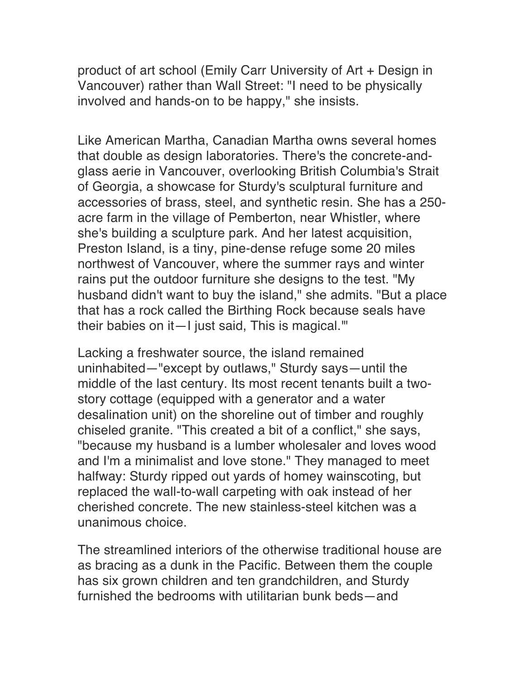product of art school (Emily Carr University of Art + Design in Vancouver) rather than Wall Street: "I need to be physically involved and hands-on to be happy," she insists.

Like American Martha, Canadian Martha owns several homes that double as design laboratories. There's the concrete-andglass aerie in Vancouver, overlooking British Columbia's Strait of Georgia, a showcase for Sturdy's sculptural furniture and accessories of brass, steel, and synthetic resin. She has a 250 acre farm in the village of Pemberton, near Whistler, where she's building a sculpture park. And her latest acquisition, Preston Island, is a tiny, pine-dense refuge some 20 miles northwest of Vancouver, where the summer rays and winter rains put the outdoor furniture she designs to the test. "My husband didn't want to buy the island," she admits. "But a place that has a rock called the Birthing Rock because seals have their babies on it—I just said, This is magical.'"

Lacking a freshwater source, the island remained uninhabited—"except by outlaws," Sturdy says—until the middle of the last century. Its most recent tenants built a twostory cottage (equipped with a generator and a water desalination unit) on the shoreline out of timber and roughly chiseled granite. "This created a bit of a conflict," she says, "because my husband is a lumber wholesaler and loves wood and I'm a minimalist and love stone." They managed to meet halfway: Sturdy ripped out yards of homey wainscoting, but replaced the wall-to-wall carpeting with oak instead of her cherished concrete. The new stainless-steel kitchen was a unanimous choice.

The streamlined interiors of the otherwise traditional house are as bracing as a dunk in the Pacific. Between them the couple has six grown children and ten grandchildren, and Sturdy furnished the bedrooms with utilitarian bunk beds—and